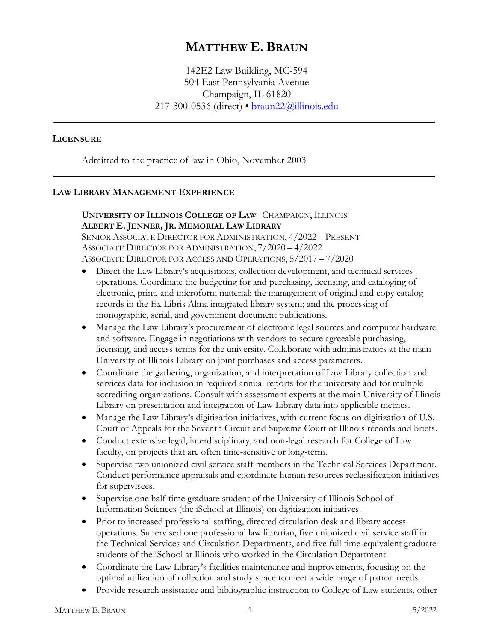# **MATTHEW E. BRAUN**

142E2 Law Building, MC-594 504 East Pennsylvania Avenue Champaign, IL 61820 217-300-0536 (direct) • [braun22@illinois.edu](mailto:braun22@illinois.edu)

### **LICENSURE**

Admitted to the practice of law in Ohio, November 2003

### **LAW LIBRARY MANAGEMENT EXPERIENCE**

# **UNIVERSITY OF ILLINOIS COLLEGE OF LAW** CHAMPAIGN, ILLINOIS **ALBERT E. JENNER, JR. MEMORIAL LAW LIBRARY**

SENIOR ASSOCIATE DIRECTOR FOR ADMINISTRATION, 4/2022 – PRESENT ASSOCIATE DIRECTOR FOR ADMINISTRATION, 7/2020 – 4/2022 ASSOCIATE DIRECTOR FOR ACCESS AND OPERATIONS, 5/2017 – 7/2020

- Direct the Law Library's acquisitions, collection development, and technical services operations. Coordinate the budgeting for and purchasing, licensing, and cataloging of electronic, print, and microform material; the management of original and copy catalog records in the Ex Libris Alma integrated library system; and the processing of monographic, serial, and government document publications.
- Manage the Law Library's procurement of electronic legal sources and computer hardware and software. Engage in negotiations with vendors to secure agreeable purchasing, licensing, and access terms for the university. Collaborate with administrators at the main University of Illinois Library on joint purchases and access parameters.
- Coordinate the gathering, organization, and interpretation of Law Library collection and services data for inclusion in required annual reports for the university and for multiple accrediting organizations. Consult with assessment experts at the main University of Illinois Library on presentation and integration of Law Library data into applicable metrics.
- Manage the Law Library's digitization initiatives, with current focus on digitization of U.S. Court of Appeals for the Seventh Circuit and Supreme Court of Illinois records and briefs.
- Conduct extensive legal, interdisciplinary, and non-legal research for College of Law faculty, on projects that are often time-sensitive or long-term.
- Supervise two unionized civil service staff members in the Technical Services Department. Conduct performance appraisals and coordinate human resources reclassification initiatives for supervisees.
- Supervise one half-time graduate student of the University of Illinois School of Information Sciences (the iSchool at Illinois) on digitization initiatives.
- Prior to increased professional staffing, directed circulation desk and library access operations. Supervised one professional law librarian, five unionized civil service staff in the Technical Services and Circulation Departments, and five full time-equivalent graduate students of the iSchool at Illinois who worked in the Circulation Department.
- Coordinate the Law Library's facilities maintenance and improvements, focusing on the optimal utilization of collection and study space to meet a wide range of patron needs.
- Provide research assistance and bibliographic instruction to College of Law students, other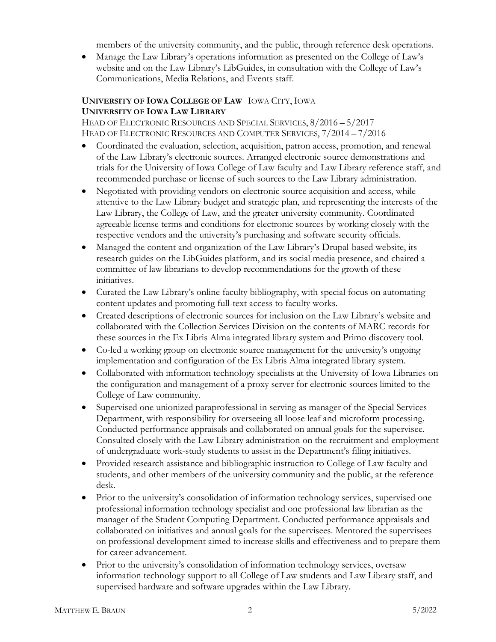members of the university community, and the public, through reference desk operations.

• Manage the Law Library's operations information as presented on the College of Law's website and on the Law Library's LibGuides, in consultation with the College of Law's Communications, Media Relations, and Events staff.

# **UNIVERSITY OF IOWA COLLEGE OF LAW** IOWA CITY, IOWA **UNIVERSITY OF IOWA LAW LIBRARY**

HEAD OF ELECTRONIC RESOURCES AND SPECIAL SERVICES, 8/2016 – 5/2017 HEAD OF ELECTRONIC RESOURCES AND COMPUTER SERVICES, 7/2014 – 7/2016

- Coordinated the evaluation, selection, acquisition, patron access, promotion, and renewal of the Law Library's electronic sources. Arranged electronic source demonstrations and trials for the University of Iowa College of Law faculty and Law Library reference staff, and recommended purchase or license of such sources to the Law Library administration.
- Negotiated with providing vendors on electronic source acquisition and access, while attentive to the Law Library budget and strategic plan, and representing the interests of the Law Library, the College of Law, and the greater university community. Coordinated agreeable license terms and conditions for electronic sources by working closely with the respective vendors and the university's purchasing and software security officials.
- Managed the content and organization of the Law Library's Drupal-based website, its research guides on the LibGuides platform, and its social media presence, and chaired a committee of law librarians to develop recommendations for the growth of these initiatives.
- Curated the Law Library's online faculty bibliography, with special focus on automating content updates and promoting full-text access to faculty works.
- Created descriptions of electronic sources for inclusion on the Law Library's website and collaborated with the Collection Services Division on the contents of MARC records for these sources in the Ex Libris Alma integrated library system and Primo discovery tool.
- Co-led a working group on electronic source management for the university's ongoing implementation and configuration of the Ex Libris Alma integrated library system.
- Collaborated with information technology specialists at the University of Iowa Libraries on the configuration and management of a proxy server for electronic sources limited to the College of Law community.
- Supervised one unionized paraprofessional in serving as manager of the Special Services Department, with responsibility for overseeing all loose leaf and microform processing. Conducted performance appraisals and collaborated on annual goals for the supervisee. Consulted closely with the Law Library administration on the recruitment and employment of undergraduate work-study students to assist in the Department's filing initiatives.
- Provided research assistance and bibliographic instruction to College of Law faculty and students, and other members of the university community and the public, at the reference desk.
- Prior to the university's consolidation of information technology services, supervised one professional information technology specialist and one professional law librarian as the manager of the Student Computing Department. Conducted performance appraisals and collaborated on initiatives and annual goals for the supervisees. Mentored the supervisees on professional development aimed to increase skills and effectiveness and to prepare them for career advancement.
- Prior to the university's consolidation of information technology services, oversaw information technology support to all College of Law students and Law Library staff, and supervised hardware and software upgrades within the Law Library.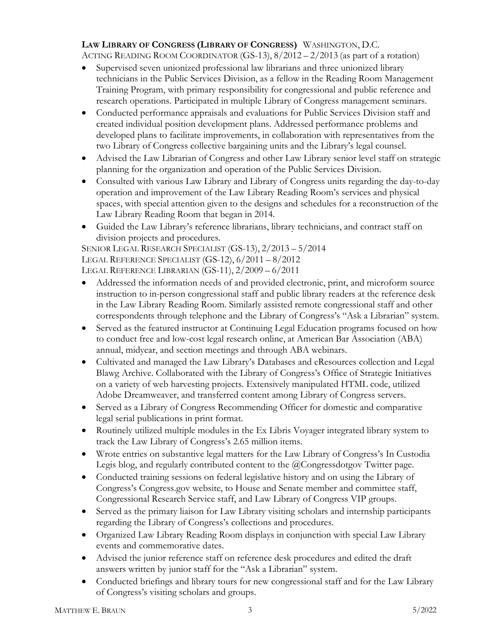# **LAW LIBRARY OF CONGRESS (LIBRARY OF CONGRESS)** WASHINGTON, D.C.

ACTING READING ROOM COORDINATOR (GS-13), 8/2012 – 2/2013 (as part of a rotation)

- Supervised seven unionized professional law librarians and three unionized library technicians in the Public Services Division, as a fellow in the Reading Room Management Training Program, with primary responsibility for congressional and public reference and research operations. Participated in multiple Library of Congress management seminars.
- Conducted performance appraisals and evaluations for Public Services Division staff and created individual position development plans. Addressed performance problems and developed plans to facilitate improvements, in collaboration with representatives from the two Library of Congress collective bargaining units and the Library's legal counsel.
- Advised the Law Librarian of Congress and other Law Library senior level staff on strategic planning for the organization and operation of the Public Services Division.
- Consulted with various Law Library and Library of Congress units regarding the day-to-day operation and improvement of the Law Library Reading Room's services and physical spaces, with special attention given to the designs and schedules for a reconstruction of the Law Library Reading Room that began in 2014.
- Guided the Law Library's reference librarians, library technicians, and contract staff on division projects and procedures.

SENIOR LEGAL RESEARCH SPECIALIST (GS-13), 2/2013 – 5/2014 LEGAL REFERENCE SPECIALIST (GS-12), 6/2011 – 8/2012 LEGAL REFERENCE LIBRARIAN (GS-11), 2/2009 – 6/2011

- Addressed the information needs of and provided electronic, print, and microform source instruction to in-person congressional staff and public library readers at the reference desk in the Law Library Reading Room. Similarly assisted remote congressional staff and other correspondents through telephone and the Library of Congress's "Ask a Librarian" system.
- Served as the featured instructor at Continuing Legal Education programs focused on how to conduct free and low-cost legal research online, at American Bar Association (ABA) annual, midyear, and section meetings and through ABA webinars.
- Cultivated and managed the Law Library's Databases and eResources collection and Legal Blawg Archive. Collaborated with the Library of Congress's Office of Strategic Initiatives on a variety of web harvesting projects. Extensively manipulated HTML code, utilized Adobe Dreamweaver, and transferred content among Library of Congress servers.
- Served as a Library of Congress Recommending Officer for domestic and comparative legal serial publications in print format.
- Routinely utilized multiple modules in the Ex Libris Voyager integrated library system to track the Law Library of Congress's 2.65 million items.
- Wrote entries on substantive legal matters for the Law Library of Congress's In Custodia Legis blog, and regularly contributed content to the @Congressdotgov Twitter page.
- Conducted training sessions on federal legislative history and on using the Library of Congress's Congress.gov website, to House and Senate member and committee staff, Congressional Research Service staff, and Law Library of Congress VIP groups.
- Served as the primary liaison for Law Library visiting scholars and internship participants regarding the Library of Congress's collections and procedures.
- Organized Law Library Reading Room displays in conjunction with special Law Library events and commemorative dates.
- Advised the junior reference staff on reference desk procedures and edited the draft answers written by junior staff for the "Ask a Librarian" system.
- Conducted briefings and library tours for new congressional staff and for the Law Library of Congress's visiting scholars and groups.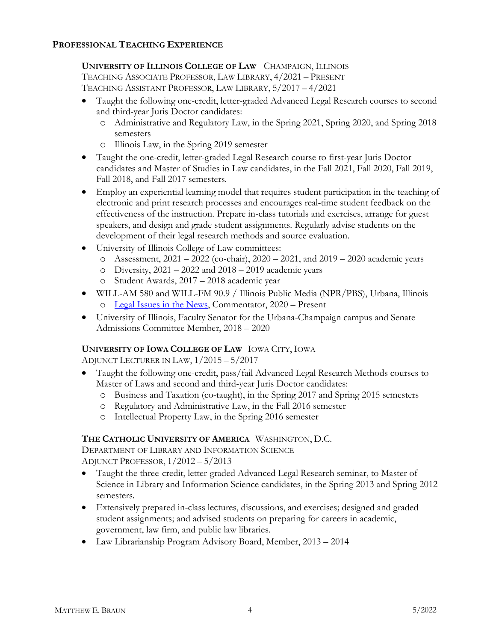# **PROFESSIONAL TEACHING EXPERIENCE**

# **UNIVERSITY OF ILLINOIS COLLEGE OF LAW** CHAMPAIGN, ILLINOIS

TEACHING ASSOCIATE PROFESSOR, LAW LIBRARY, 4/2021 – PRESENT TEACHING ASSISTANT PROFESSOR, LAW LIBRARY, 5/2017 – 4/2021

- Taught the following one-credit, letter-graded Advanced Legal Research courses to second and third-year Juris Doctor candidates:
	- o Administrative and Regulatory Law, in the Spring 2021, Spring 2020, and Spring 2018 semesters
	- o Illinois Law, in the Spring 2019 semester
- Taught the one-credit, letter-graded Legal Research course to first-year Juris Doctor candidates and Master of Studies in Law candidates, in the Fall 2021, Fall 2020, Fall 2019, Fall 2018, and Fall 2017 semesters.
- Employ an experiential learning model that requires student participation in the teaching of electronic and print research processes and encourages real-time student feedback on the effectiveness of the instruction. Prepare in-class tutorials and exercises, arrange for guest speakers, and design and grade student assignments. Regularly advise students on the development of their legal research methods and source evaluation.
- University of Illinois College of Law committees:
	- $\circ$  Assessment, 2021 2022 (co-chair), 2020 2021, and 2019 2020 academic years
	- $\degree$  Diversity, 2021 2022 and 2018 2019 academic years
	- o Student Awards, 2017 2018 academic year
- WILL-AM 580 and WILL-FM 90.9 / Illinois Public Media (NPR/PBS), Urbana, Illinois o [Legal Issues in the News,](https://will.illinois.edu/legalissuesinthenews) Commentator, 2020 – Present
- University of Illinois, Faculty Senator for the Urbana-Champaign campus and Senate Admissions Committee Member, 2018 – 2020

### **UNIVERSITY OF IOWA COLLEGE OF LAW** IOWA CITY, IOWA

ADJUNCT LECTURER IN LAW, 1/2015 – 5/2017

- Taught the following one-credit, pass/fail Advanced Legal Research Methods courses to Master of Laws and second and third-year Juris Doctor candidates:
	- o Business and Taxation (co-taught), in the Spring 2017 and Spring 2015 semesters
	- o Regulatory and Administrative Law, in the Fall 2016 semester
	- o Intellectual Property Law, in the Spring 2016 semester

# **THE CATHOLIC UNIVERSITY OF AMERICA** WASHINGTON, D.C.

DEPARTMENT OF LIBRARY AND INFORMATION SCIENCE ADJUNCT PROFESSOR, 1/2012 – 5/2013

- Taught the three-credit, letter-graded Advanced Legal Research seminar, to Master of Science in Library and Information Science candidates, in the Spring 2013 and Spring 2012 semesters.
- Extensively prepared in-class lectures, discussions, and exercises; designed and graded student assignments; and advised students on preparing for careers in academic, government, law firm, and public law libraries.
- Law Librarianship Program Advisory Board, Member, 2013 2014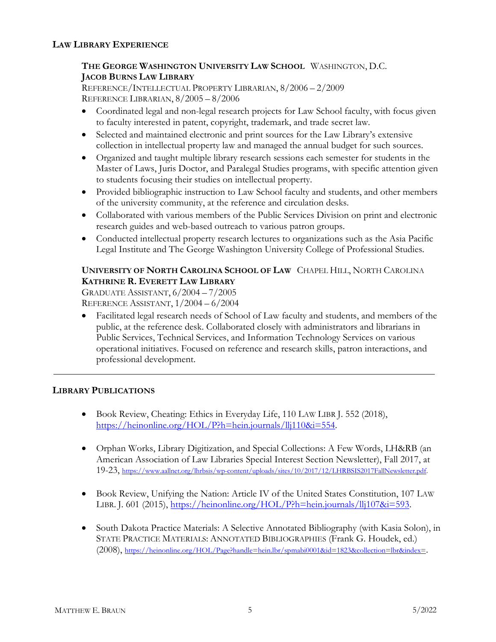# **LAW LIBRARY EXPERIENCE**

# **THE GEORGE WASHINGTON UNIVERSITY LAW SCHOOL** WASHINGTON, D.C. **JACOB BURNS LAW LIBRARY**

REFERENCE/INTELLECTUAL PROPERTY LIBRARIAN, 8/2006 – 2/2009 REFERENCE LIBRARIAN, 8/2005 – 8/2006

- Coordinated legal and non-legal research projects for Law School faculty, with focus given to faculty interested in patent, copyright, trademark, and trade secret law.
- Selected and maintained electronic and print sources for the Law Library's extensive collection in intellectual property law and managed the annual budget for such sources.
- Organized and taught multiple library research sessions each semester for students in the Master of Laws, Juris Doctor, and Paralegal Studies programs, with specific attention given to students focusing their studies on intellectual property.
- Provided bibliographic instruction to Law School faculty and students, and other members of the university community, at the reference and circulation desks.
- Collaborated with various members of the Public Services Division on print and electronic research guides and web-based outreach to various patron groups.
- Conducted intellectual property research lectures to organizations such as the Asia Pacific Legal Institute and The George Washington University College of Professional Studies.

# **UNIVERSITY OF NORTH CAROLINA SCHOOL OF LAW** CHAPEL HILL, NORTH CAROLINA **KATHRINE R. EVERETT LAW LIBRARY**

GRADUATE ASSISTANT, 6/2004 – 7/2005 REFERENCE ASSISTANT, 1/2004 – 6/2004

• Facilitated legal research needs of School of Law faculty and students, and members of the public, at the reference desk. Collaborated closely with administrators and librarians in Public Services, Technical Services, and Information Technology Services on various operational initiatives. Focused on reference and research skills, patron interactions, and professional development.

### **LIBRARY PUBLICATIONS**

- Book Review, Cheating: Ethics in Everyday Life, 110 LAW LIBR J. 552 (2018), [https://heinonline.org/HOL/P?h=hein.journals/llj110&i=554.](https://heinonline.org/HOL/P?h=hein.journals/llj110&i=554)
- Orphan Works, Library Digitization, and Special Collections: A Few Words, LH&RB (an American Association of Law Libraries Special Interest Section Newsletter), Fall 2017, at 19-23, [https://www.aallnet.org/lhrbsis/wp-content/uploads/sites/10/2017/12/LHRBSIS2017FallNewsletter.pdf.](https://www.aallnet.org/lhrbsis/wp-content/uploads/sites/10/2017/12/LHRBSIS2017FallNewsletter.pdf)
- Book Review, Unifying the Nation: Article IV of the United States Constitution, 107 LAW LIBR. J. 601 (2015), [https://heinonline.org/HOL/P?h=hein.journals/llj107&i=593.](https://heinonline.org/HOL/P?h=hein.journals/llj107&i=593)
- South Dakota Practice Materials: A Selective Annotated Bibliography (with Kasia Solon), in STATE PRACTICE MATERIALS: ANNOTATED BIBLIOGRAPHIES (Frank G. Houdek, ed.) (2008), [https://heinonline.org/HOL/Page?handle=hein.lbr/spmabi0001&id=1823&collection=lbr&index=.](https://heinonline.org/HOL/Page?handle=hein.lbr/spmabi0001&id=1823&collection=lbr&index=)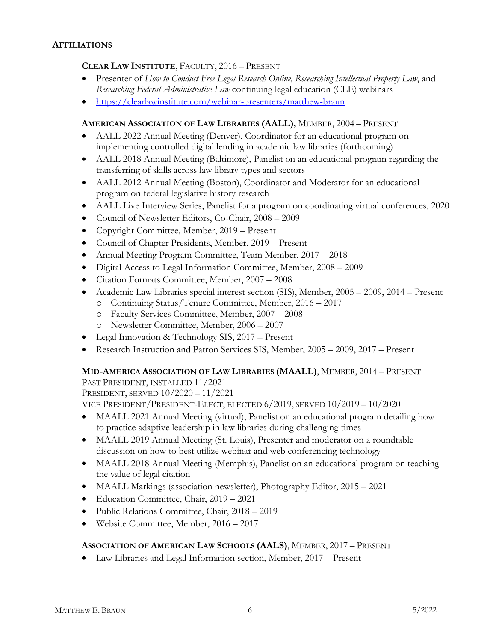#### **AFFILIATIONS**

### **CLEAR LAW INSTITUTE**, FACULTY, 2016 – PRESENT

- Presenter of *How to Conduct Free Legal Research Online*, *Researching Intellectual Property Law*, and *Researching Federal Administrative Law* continuing legal education (CLE) webinars
- <https://clearlawinstitute.com/webinar-presenters/matthew-braun>

#### **AMERICAN ASSOCIATION OF LAW LIBRARIES (AALL),** MEMBER, 2004 – PRESENT

- AALL 2022 Annual Meeting (Denver), Coordinator for an educational program on implementing controlled digital lending in academic law libraries (forthcoming)
- AALL 2018 Annual Meeting (Baltimore), Panelist on an educational program regarding the transferring of skills across law library types and sectors
- AALL 2012 Annual Meeting (Boston), Coordinator and Moderator for an educational program on federal legislative history research
- AALL Live Interview Series, Panelist for a program on coordinating virtual conferences, 2020
- Council of Newsletter Editors, Co-Chair, 2008 2009
- Copyright Committee, Member, 2019 Present
- Council of Chapter Presidents, Member, 2019 Present
- Annual Meeting Program Committee, Team Member, 2017 2018
- Digital Access to Legal Information Committee, Member, 2008 2009
- Citation Formats Committee, Member, 2007 2008
- Academic Law Libraries special interest section (SIS), Member, 2005 2009, 2014 Present o Continuing Status/Tenure Committee, Member, 2016 – 2017
	- o Faculty Services Committee, Member, 2007 2008
	- o Newsletter Committee, Member, 2006 2007
- Legal Innovation & Technology SIS, 2017 Present
- Research Instruction and Patron Services SIS, Member, 2005 2009, 2017 Present

### **MID-AMERICA ASSOCIATION OF LAW LIBRARIES (MAALL)**, MEMBER, 2014 – PRESENT

PAST PRESIDENT, INSTALLED 11/2021

PRESIDENT, SERVED 10/2020 – 11/2021

VICE PRESIDENT/PRESIDENT-ELECT, ELECTED 6/2019, SERVED 10/2019 – 10/2020

- MAALL 2021 Annual Meeting (virtual), Panelist on an educational program detailing how to practice adaptive leadership in law libraries during challenging times
- MAALL 2019 Annual Meeting (St. Louis), Presenter and moderator on a roundtable discussion on how to best utilize webinar and web conferencing technology
- MAALL 2018 Annual Meeting (Memphis), Panelist on an educational program on teaching the value of legal citation
- MAALL Markings (association newsletter), Photography Editor, 2015 2021
- Education Committee, Chair, 2019 2021
- Public Relations Committee, Chair, 2018 2019
- Website Committee, Member, 2016 2017

### **ASSOCIATION OF AMERICAN LAW SCHOOLS (AALS)**, MEMBER, 2017 – PRESENT

• Law Libraries and Legal Information section, Member, 2017 – Present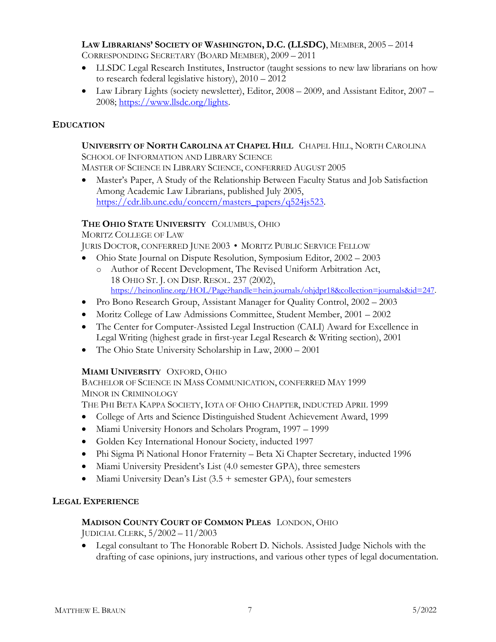# **LAW LIBRARIANS' SOCIETY OF WASHINGTON, D.C. (LLSDC)**, MEMBER, 2005 – 2014

CORRESPONDING SECRETARY (BOARD MEMBER), 2009 – 2011

- LLSDC Legal Research Institutes, Instructor (taught sessions to new law librarians on how to research federal legislative history), 2010 – 2012
- Law Library Lights (society newsletter), Editor, 2008 2009, and Assistant Editor, 2007 2008; [https://www.llsdc.org/lights.](https://www.llsdc.org/lights)

# **EDUCATION**

#### **UNIVERSITY OF NORTH CAROLINA AT CHAPEL HILL** CHAPEL HILL, NORTH CAROLINA SCHOOL OF INFORMATION AND LIBRARY SCIENCE

MASTER OF SCIENCE IN LIBRARY SCIENCE, CONFERRED AUGUST 2005

• Master's Paper, A Study of the Relationship Between Faculty Status and Job Satisfaction Among Academic Law Librarians, published July 2005, [https://cdr.lib.unc.edu/concern/masters\\_papers/q524js523.](https://cdr.lib.unc.edu/concern/masters_papers/q524js523)

# **THE OHIO STATE UNIVERSITY** COLUMBUS, OHIO

MORITZ COLLEGE OF LAW

JURIS DOCTOR, CONFERRED JUNE 2003 • MORITZ PUBLIC SERVICE FELLOW

- Ohio State Journal on Dispute Resolution, Symposium Editor, 2002 2003
	- o Author of Recent Development, The Revised Uniform Arbitration Act, 18 OHIO ST. J. ON DISP. RESOL. 237 (2002), [https://heinonline.org/HOL/Page?handle=hein.journals/ohjdpr18&collection=journals&id=247.](https://heinonline.org/HOL/Page?handle=hein.journals/ohjdpr18&collection=journals&id=247)
- Pro Bono Research Group, Assistant Manager for Quality Control, 2002 2003
- Moritz College of Law Admissions Committee, Student Member, 2001 2002
- The Center for Computer-Assisted Legal Instruction (CALI) Award for Excellence in Legal Writing (highest grade in first-year Legal Research & Writing section), 2001
- The Ohio State University Scholarship in Law, 2000 2001

### **MIAMI UNIVERSITY** OXFORD, OHIO

BACHELOR OF SCIENCE IN MASS COMMUNICATION, CONFERRED MAY 1999 MINOR IN CRIMINOLOGY

THE PHI BETA KAPPA SOCIETY, IOTA OF OHIO CHAPTER, INDUCTED APRIL 1999

- College of Arts and Science Distinguished Student Achievement Award, 1999
- Miami University Honors and Scholars Program, 1997 1999
- Golden Key International Honour Society, inducted 1997
- Phi Sigma Pi National Honor Fraternity Beta Xi Chapter Secretary, inducted 1996
- Miami University President's List (4.0 semester GPA), three semesters
- Miami University Dean's List  $(3.5 +$  semester GPA), four semesters

### **LEGAL EXPERIENCE**

### **MADISON COUNTY COURT OF COMMON PLEAS** LONDON, OHIO

JUDICIAL CLERK, 5/2002 – 11/2003

• Legal consultant to The Honorable Robert D. Nichols. Assisted Judge Nichols with the drafting of case opinions, jury instructions, and various other types of legal documentation.